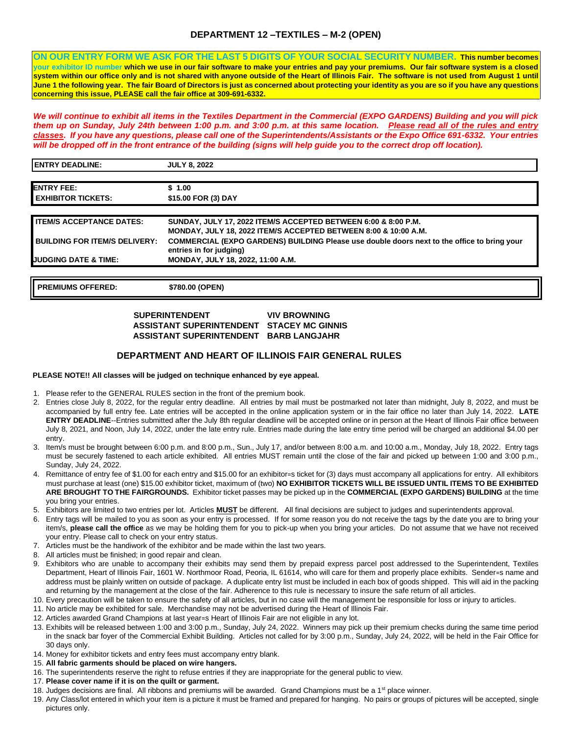## **DEPARTMENT 12 –TEXTILES – M-2 (OPEN)**

**ON OUR ENTRY FORM WE ASK FOR THE LAST 5 DIGITS OF YOUR SOCIAL SECURITY NUMBER. This number becomes your exhibitor ID number which we use in our fair software to make your entries and pay your premiums. Our fair software system is a closed system within our office only and is not shared with anyone outside of the Heart of Illinois Fair. The software is not used from August 1 until June 1 the following year. The fair Board of Directors is just as concerned about protecting your identity as you are so if you have any questions concerning this issue, PLEASE call the fair office at 309-691-6332.** 

*We will continue to exhibit all items in the Textiles Department in the Commercial (EXPO GARDENS) Building and you will pick them up on Sunday, July 24th between 1:00 p.m. and 3:00 p.m. at this same location. Please read all of the rules and entry classes. If you have any questions, please call one of the Superintendents/Assistants or the Expo Office 691-6332. Your entries*  will be dropped off in the front entrance of the building (signs will help guide you to the correct drop off location).

| <b>ENTRY DEADLINE:</b>               | <b>JULY 8, 2022</b>                                                                                                                          |
|--------------------------------------|----------------------------------------------------------------------------------------------------------------------------------------------|
|                                      |                                                                                                                                              |
| <b>ENTRY FEE:</b>                    | \$1.00                                                                                                                                       |
| <b>EXHIBITOR TICKETS:</b>            | \$15.00 FOR (3) DAY                                                                                                                          |
|                                      |                                                                                                                                              |
| <b>ITEM/S ACCEPTANCE DATES:</b>      | SUNDAY, JULY 17, 2022 ITEM/S ACCEPTED BETWEEN 6:00 & 8:00 P.M.<br><b>MONDAY, JULY 18, 2022 ITEM/S ACCEPTED BETWEEN 8:00 &amp; 10:00 A.M.</b> |
| <b>BUILDING FOR ITEM/S DELIVERY:</b> | COMMERCIAL (EXPO GARDENS) BUILDING Please use double doors next to the office to bring your<br>entries in for judging)                       |
| <b>JUDGING DATE &amp; TIME:</b>      | MONDAY, JULY 18, 2022, 11:00 A.M.                                                                                                            |
|                                      |                                                                                                                                              |

**PREMIUMS OFFERED: \$780.00 (OPEN)** 

#### **SUPERINTENDENT VIV BROWNING ASSISTANT SUPERINTENDENT STACEY MC GINNIS ASSISTANT SUPERINTENDENT BARB LANGJAHR**

#### **DEPARTMENT AND HEART OF ILLINOIS FAIR GENERAL RULES**

#### **PLEASE NOTE!! All classes will be judged on technique enhanced by eye appeal.**

- 1. Please refer to the GENERAL RULES section in the front of the premium book.
- 2. Entries close July 8, 2022, for the regular entry deadline. All entries by mail must be postmarked not later than midnight, July 8, 2022, and must be accompanied by full entry fee. Late entries will be accepted in the online application system or in the fair office no later than July 14, 2022. **LATE ENTRY DEADLINE**--Entries submitted after the July 8th regular deadline will be accepted online or in person at the Heart of Illinois Fair office between July 8, 2021, and Noon, July 14, 2022, under the late entry rule. Entries made during the late entry time period will be charged an additional \$4.00 per entry.
- 3. Item/s must be brought between 6:00 p.m. and 8:00 p.m., Sun., July 17, and/or between 8:00 a.m. and 10:00 a.m., Monday, July 18, 2022. Entry tags must be securely fastened to each article exhibited. All entries MUST remain until the close of the fair and picked up between 1:00 and 3:00 p.m., Sunday, July 24, 2022.
- 4. Remittance of entry fee of \$1.00 for each entry and \$15.00 for an exhibitor=s ticket for (3) days must accompany all applications for entry. All exhibitors must purchase at least (one) \$15.00 exhibitor ticket, maximum of (two) **NO EXHIBITOR TICKETS WILL BE ISSUED UNTIL ITEMS TO BE EXHIBITED ARE BROUGHT TO THE FAIRGROUNDS.** Exhibitor ticket passes may be picked up in the **COMMERCIAL (EXPO GARDENS) BUILDING** at the time you bring your entries.
- 5. Exhibitors are limited to two entries per lot. Articles **MUST** be different. All final decisions are subject to judges and superintendents approval.
- 6. Entry tags will be mailed to you as soon as your entry is processed. If for some reason you do not receive the tags by the date you are to bring your item/s, **please call the office** as we may be holding them for you to pick-up when you bring your articles. Do not assume that we have not received your entry. Please call to check on your entry status.
- 7. Articles must be the handiwork of the exhibitor and be made within the last two years.
- 8. All articles must be finished; in good repair and clean.
- 9. Exhibitors who are unable to accompany their exhibits may send them by prepaid express parcel post addressed to the Superintendent, Textiles Department, Heart of Illinois Fair, 1601 W. Northmoor Road, Peoria, IL 61614, who will care for them and properly place exhibits. Sender=s name and address must be plainly written on outside of package. A duplicate entry list must be included in each box of goods shipped. This will aid in the packing and returning by the management at the close of the fair. Adherence to this rule is necessary to insure the safe return of all articles.
- 10. Every precaution will be taken to ensure the safety of all articles, but in no case will the management be responsible for loss or injury to articles.
- 11. No article may be exhibited for sale. Merchandise may not be advertised during the Heart of Illinois Fair.
- 12. Articles awarded Grand Champions at last year=s Heart of Illinois Fair are not eligible in any lot.
- 13. Exhibits will be released between 1:00 and 3:00 p.m., Sunday, July 24, 2022. Winners may pick up their premium checks during the same time period in the snack bar foyer of the Commercial Exhibit Building. Articles not called for by 3:00 p.m., Sunday, July 24, 2022, will be held in the Fair Office for 30 days only.
- 14. Money for exhibitor tickets and entry fees must accompany entry blank.
- 15. **All fabric garments should be placed on wire hangers.**
- 16. The superintendents reserve the right to refuse entries if they are inappropriate for the general public to view.
- 17. **Please cover name if it is on the quilt or garment.**
- 18. Judges decisions are final. All ribbons and premiums will be awarded. Grand Champions must be a 1<sup>st</sup> place winner.
- 19. Any Class/lot entered in which your item is a picture it must be framed and prepared for hanging. No pairs or groups of pictures will be accepted, single pictures only.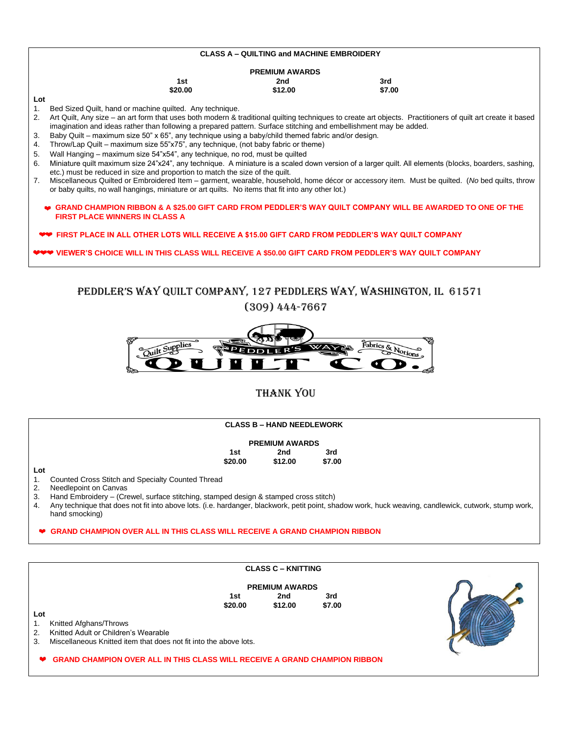| <b>CLASS A - QUILTING and MACHINE EMBROIDERY</b> |                                                                                                                                                             |         |        |  |  |  |  |  |
|--------------------------------------------------|-------------------------------------------------------------------------------------------------------------------------------------------------------------|---------|--------|--|--|--|--|--|
| <b>PREMIUM AWARDS</b>                            |                                                                                                                                                             |         |        |  |  |  |  |  |
|                                                  | 1st                                                                                                                                                         | 2nd     | 3rd    |  |  |  |  |  |
|                                                  | \$20.00                                                                                                                                                     | \$12.00 | \$7.00 |  |  |  |  |  |
| Lot                                              |                                                                                                                                                             |         |        |  |  |  |  |  |
| 1 <sub>1</sub>                                   | Bed Sized Quilt, hand or machine quilted. Any technique.                                                                                                    |         |        |  |  |  |  |  |
| 2.                                               | Art Quilt, Any size – an art form that uses both modern & traditional quilting techniques to create art objects. Practitioners of quilt art create it based |         |        |  |  |  |  |  |
|                                                  | imagination and ideas rather than following a prepared pattern. Surface stitching and embellishment may be added.                                           |         |        |  |  |  |  |  |
| 3.                                               | Baby Quilt – maximum size 50" x 65", any technique using a baby/child themed fabric and/or design.                                                          |         |        |  |  |  |  |  |
| 4.                                               | Throw/Lap Quilt – maximum size 55"x75", any technique, (not baby fabric or theme)                                                                           |         |        |  |  |  |  |  |
| 5.                                               | Wall Hanging – maximum size 54"x54", any technique, no rod, must be quilted                                                                                 |         |        |  |  |  |  |  |
| 6.                                               | Miniature quilt maximum size 24"x24", any technique. A miniature is a scaled down version of a larger quilt. All elements (blocks, boarders, sashing,       |         |        |  |  |  |  |  |
|                                                  | etc.) must be reduced in size and proportion to match the size of the quilt.                                                                                |         |        |  |  |  |  |  |
| 7.                                               | Miscellaneous Quilted or Embroidered Item – garment, wearable, household, home décor or accessory item. Must be quilted. (No bed quilts, throw              |         |        |  |  |  |  |  |
|                                                  | or baby quilts, no wall hangings, miniature or art quilts. No items that fit into any other lot.)                                                           |         |        |  |  |  |  |  |
|                                                  | $\bullet\,\,$ GRAND CHAMPION RIBBON & A \$25.00 GIFT CARD FROM PEDDLER'S WAY QUILT COMPANY WILL BE AWARDED TO ONE OF THE                                    |         |        |  |  |  |  |  |
|                                                  | <b>FIRST PLACE WINNERS IN CLASS A</b>                                                                                                                       |         |        |  |  |  |  |  |
|                                                  |                                                                                                                                                             |         |        |  |  |  |  |  |
|                                                  | ❤❤ FIRST PLACE IN ALL OTHER LOTS WILL RECEIVE A \$15.00 GIFT CARD FROM PEDDLER'S WAY QUILT COMPANY                                                          |         |        |  |  |  |  |  |
|                                                  |                                                                                                                                                             |         |        |  |  |  |  |  |
|                                                  | ❤❤❤ VIEWER'S CHOICE WILL IN THIS CLASS WILL RECEIVE A \$50.00 GIFT CARD FROM PEDDLER'S WAY QUILT COMPANY                                                    |         |        |  |  |  |  |  |
|                                                  |                                                                                                                                                             |         |        |  |  |  |  |  |

PEDDLER'S WAY QUILT COMPANY, 127 PEDDLERS WAY, WASHINGTON, IL 61571 (309) 444-7667



# THANK YOU

### **CLASS B – HAND NEEDLEWORK**

#### **PREMIUM AWARDS**

| 1st     | 2nd     | 3rd    |  |
|---------|---------|--------|--|
| \$20.00 | \$12.00 | \$7.00 |  |

#### **Lot**

**Lot** 

1. Counted Cross Stitch and Specialty Counted Thread

2. Needlepoint on Canvas<br>3. Hand Embroidery - (Cre

- Hand Embroidery (Crewel, surface stitching, stamped design & stamped cross stitch)
- 4. Any technique that does not fit into above lots. (i.e. hardanger, blackwork, petit point, shadow work, huck weaving, candlewick, cutwork, stump work, hand smocking)

#### **GRAND CHAMPION OVER ALL IN THIS CLASS WILL RECEIVE A GRAND CHAMPION RIBBON**

#### **CLASS C – KNITTING**

|         | <b>PREMIUM AWARDS</b> |        |  |
|---------|-----------------------|--------|--|
| 1st     | 2nd                   | 3rd    |  |
| \$20.00 | \$12.00               | \$7.00 |  |



1. Knitted Afghans/Throws

2. Knitted Adult or Children's Wearable

3. Miscellaneous Knitted item that does not fit into the above lots.

 **GRAND CHAMPION OVER ALL IN THIS CLASS WILL RECEIVE A GRAND CHAMPION RIBBON**